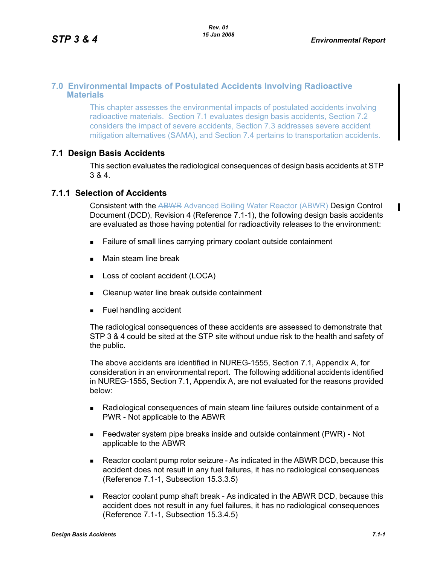#### **7.0 Environmental Impacts of Postulated Accidents Involving Radioactive Materials**

This chapter assesses the environmental impacts of postulated accidents involving radioactive materials. Section 7.1 evaluates design basis accidents, Section 7.2 considers the impact of severe accidents, Section 7.3 addresses severe accident mitigation alternatives (SAMA), and Section 7.4 pertains to transportation accidents.

## **7.1 Design Basis Accidents**

This section evaluates the radiological consequences of design basis accidents at STP 3 & 4.

#### **7.1.1 Selection of Accidents**

Consistent with the ABWR Advanced Boiling Water Reactor (ABWR) Design Control Document (DCD), Revision 4 (Reference 7.1-1), the following design basis accidents are evaluated as those having potential for radioactivity releases to the environment:

- Failure of small lines carrying primary coolant outside containment
- **Main steam line break**
- **Loss of coolant accident (LOCA)**
- Cleanup water line break outside containment
- **Fuel handling accident**

The radiological consequences of these accidents are assessed to demonstrate that STP 3 & 4 could be sited at the STP site without undue risk to the health and safety of the public.

The above accidents are identified in NUREG-1555, Section 7.1, Appendix A, for consideration in an environmental report. The following additional accidents identified in NUREG-1555, Section 7.1, Appendix A, are not evaluated for the reasons provided below:

- Radiological consequences of main steam line failures outside containment of a PWR - Not applicable to the ABWR
- Feedwater system pipe breaks inside and outside containment (PWR) Not applicable to the ABWR
- Reactor coolant pump rotor seizure As indicated in the ABWR DCD, because this accident does not result in any fuel failures, it has no radiological consequences (Reference 7.1-1, Subsection 15.3.3.5)
- Reactor coolant pump shaft break As indicated in the ABWR DCD, because this accident does not result in any fuel failures, it has no radiological consequences (Reference 7.1-1, Subsection 15.3.4.5)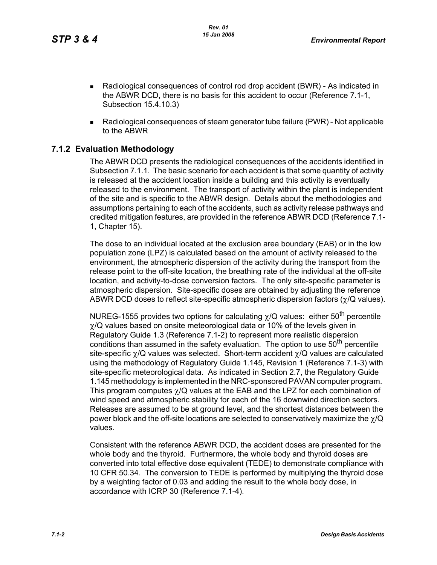- Radiological consequences of control rod drop accident (BWR) As indicated in the ABWR DCD, there is no basis for this accident to occur (Reference 7.1-1, Subsection 15.4.10.3)
- Radiological consequences of steam generator tube failure (PWR) Not applicable to the ABWR

## **7.1.2 Evaluation Methodology**

The ABWR DCD presents the radiological consequences of the accidents identified in Subsection 7.1.1. The basic scenario for each accident is that some quantity of activity is released at the accident location inside a building and this activity is eventually released to the environment. The transport of activity within the plant is independent of the site and is specific to the ABWR design. Details about the methodologies and assumptions pertaining to each of the accidents, such as activity release pathways and credited mitigation features, are provided in the reference ABWR DCD (Reference 7.1- 1, Chapter 15).

The dose to an individual located at the exclusion area boundary (EAB) or in the low population zone (LPZ) is calculated based on the amount of activity released to the environment, the atmospheric dispersion of the activity during the transport from the release point to the off-site location, the breathing rate of the individual at the off-site location, and activity-to-dose conversion factors. The only site-specific parameter is atmospheric dispersion. Site-specific doses are obtained by adjusting the reference ABWR DCD doses to reflect site-specific atmospheric dispersion factors (χ/Q values).

NUREG-1555 provides two options for calculating  $\chi$ /Q values: either 50<sup>th</sup> percentile  $\gamma$ /Q values based on onsite meteorological data or 10% of the levels given in Regulatory Guide 1.3 (Reference 7.1-2) to represent more realistic dispersion conditions than assumed in the safety evaluation. The option to use  $50<sup>th</sup>$  percentile site-specific  $\gamma$ /Q values was selected. Short-term accident  $\gamma$ /Q values are calculated using the methodology of Regulatory Guide 1.145, Revision 1 (Reference 7.1-3) with site-specific meteorological data. As indicated in Section 2.7, the Regulatory Guide 1.145 methodology is implemented in the NRC-sponsored PAVAN computer program. This program computes  $\gamma$ /Q values at the EAB and the LPZ for each combination of wind speed and atmospheric stability for each of the 16 downwind direction sectors. Releases are assumed to be at ground level, and the shortest distances between the power block and the off-site locations are selected to conservatively maximize the  $\gamma$ /Q values.

Consistent with the reference ABWR DCD, the accident doses are presented for the whole body and the thyroid. Furthermore, the whole body and thyroid doses are converted into total effective dose equivalent (TEDE) to demonstrate compliance with 10 CFR 50.34. The conversion to TEDE is performed by multiplying the thyroid dose by a weighting factor of 0.03 and adding the result to the whole body dose, in accordance with ICRP 30 (Reference 7.1-4).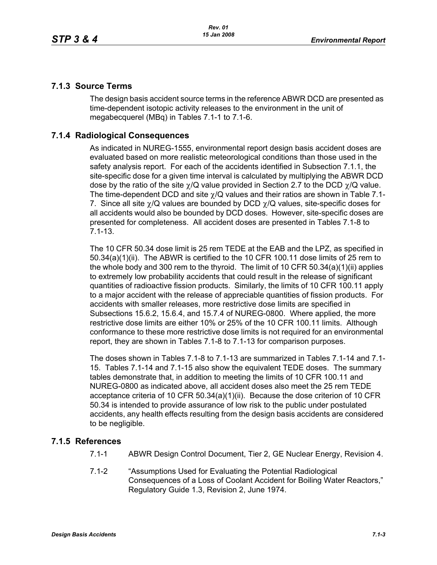## **7.1.3 Source Terms**

The design basis accident source terms in the reference ABWR DCD are presented as time-dependent isotopic activity releases to the environment in the unit of megabecquerel (MBq) in Tables 7.1-1 to 7.1-6.

## **7.1.4 Radiological Consequences**

As indicated in NUREG-1555, environmental report design basis accident doses are evaluated based on more realistic meteorological conditions than those used in the safety analysis report. For each of the accidents identified in Subsection 7.1.1, the site-specific dose for a given time interval is calculated by multiplying the ABWR DCD dose by the ratio of the site  $\gamma/Q$  value provided in Section 2.7 to the DCD  $\gamma/Q$  value. The time-dependent DCD and site  $\gamma$ /Q values and their ratios are shown in Table 7.1-7. Since all site  $\gamma$ /Q values are bounded by DCD  $\gamma$ /Q values, site-specific doses for all accidents would also be bounded by DCD doses. However, site-specific doses are presented for completeness. All accident doses are presented in Tables 7.1-8 to 7.1-13.

The 10 CFR 50.34 dose limit is 25 rem TEDE at the EAB and the LPZ, as specified in 50.34(a)(1)(ii). The ABWR is certified to the 10 CFR 100.11 dose limits of 25 rem to the whole body and 300 rem to the thyroid. The limit of 10 CFR 50.34(a)(1)(ii) applies to extremely low probability accidents that could result in the release of significant quantities of radioactive fission products. Similarly, the limits of 10 CFR 100.11 apply to a major accident with the release of appreciable quantities of fission products. For accidents with smaller releases, more restrictive dose limits are specified in Subsections 15.6.2, 15.6.4, and 15.7.4 of NUREG-0800. Where applied, the more restrictive dose limits are either 10% or 25% of the 10 CFR 100.11 limits. Although conformance to these more restrictive dose limits is not required for an environmental report, they are shown in Tables 7.1-8 to 7.1-13 for comparison purposes.

The doses shown in Tables 7.1-8 to 7.1-13 are summarized in Tables 7.1-14 and 7.1- 15. Tables 7.1-14 and 7.1-15 also show the equivalent TEDE doses. The summary tables demonstrate that, in addition to meeting the limits of 10 CFR 100.11 and NUREG-0800 as indicated above, all accident doses also meet the 25 rem TEDE acceptance criteria of 10 CFR 50.34(a)(1)(ii). Because the dose criterion of 10 CFR 50.34 is intended to provide assurance of low risk to the public under postulated accidents, any health effects resulting from the design basis accidents are considered to be negligible.

## **7.1.5 References**

- 7.1-1 ABWR Design Control Document, Tier 2, GE Nuclear Energy, Revision 4.
- 7.1-2 "Assumptions Used for Evaluating the Potential Radiological Consequences of a Loss of Coolant Accident for Boiling Water Reactors," Regulatory Guide 1.3, Revision 2, June 1974.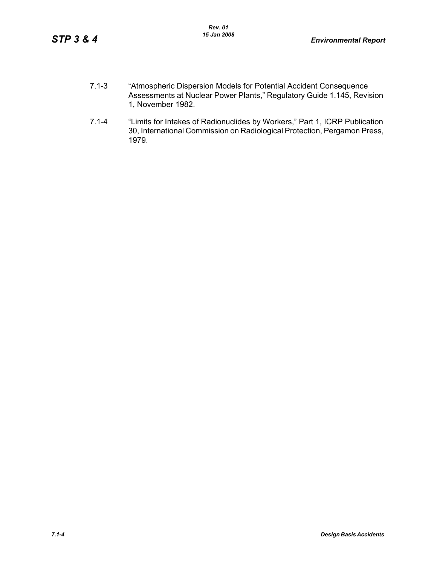- 7.1-3 "Atmospheric Dispersion Models for Potential Accident Consequence Assessments at Nuclear Power Plants," Regulatory Guide 1.145, Revision 1, November 1982.
- 7.1-4 "Limits for Intakes of Radionuclides by Workers," Part 1, ICRP Publication 30, International Commission on Radiological Protection, Pergamon Press, 1979.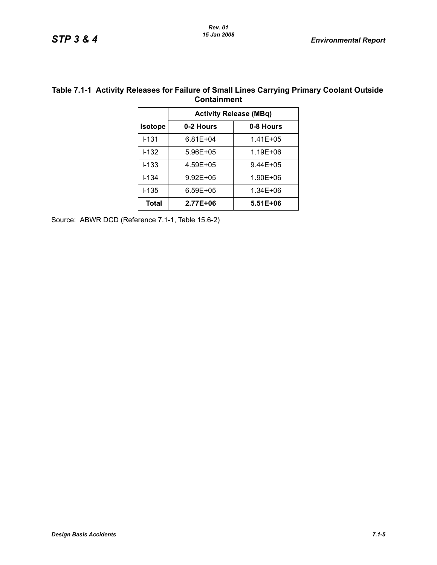|                | <b>Containment</b>            |           |  |
|----------------|-------------------------------|-----------|--|
|                | <b>Activity Release (MBq)</b> |           |  |
| <b>Isotope</b> | 0-2 Hours                     | 0-8 Hours |  |

## **Table 7.1-1 Activity Releases for Failure of Small Lines Carrying Primary Coolant Outside**

 I-131 6.81E+04 1.41E+05 I-132 5.96E+05 1.19E+06 I-133 4.59E+05 9.44E+05 I-134 9.92E+05 1.90E+06 I-135 6.59E+05 1.34E+06 Total | 2.77E+06 | 5.51E+06

Source: ABWR DCD (Reference 7.1-1, Table 15.6-2)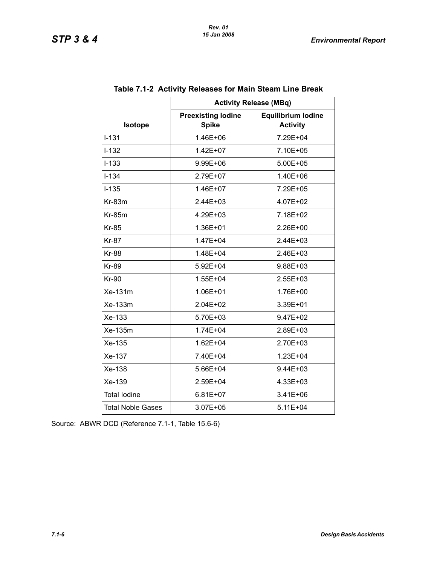|                          | <b>Activity Release (MBq)</b>             |                                              |  |  |  |  |
|--------------------------|-------------------------------------------|----------------------------------------------|--|--|--|--|
| Isotope                  | <b>Preexisting lodine</b><br><b>Spike</b> | <b>Equilibrium lodine</b><br><b>Activity</b> |  |  |  |  |
| $I - 131$                | 1.46E+06                                  | 7.29E+04                                     |  |  |  |  |
| $I - 132$                | 1.42E+07                                  | 7.10E+05                                     |  |  |  |  |
| $I - 133$                | 9.99E+06                                  | 5.00E+05                                     |  |  |  |  |
| $I - 134$                | 2.79E+07                                  | 1.40E+06                                     |  |  |  |  |
| $I - 135$                | 1.46E+07                                  | 7.29E+05                                     |  |  |  |  |
| Kr-83m                   | 2.44E+03                                  | 4.07E+02                                     |  |  |  |  |
| <b>Kr-85m</b>            | 4.29E+03                                  | 7.18E+02                                     |  |  |  |  |
| <b>Kr-85</b>             | 1.36E+01                                  | 2.26E+00                                     |  |  |  |  |
| <b>Kr-87</b>             | 1.47E+04                                  | 2.44E+03                                     |  |  |  |  |
| <b>Kr-88</b>             | 1.48E+04                                  | 2.46E+03                                     |  |  |  |  |
| <b>Kr-89</b>             | 5.92E+04                                  | 9.88E+03                                     |  |  |  |  |
| <b>Kr-90</b>             | 1.55E+04                                  | $2.55E+03$                                   |  |  |  |  |
| Xe-131m                  | 1.06E+01                                  | 1.76E+00                                     |  |  |  |  |
| Xe-133m                  | 2.04E+02                                  | 3.39E+01                                     |  |  |  |  |
| Xe-133                   | 5.70E+03                                  | 9.47E+02                                     |  |  |  |  |
| Xe-135m                  | 1.74E+04                                  | 2.89E+03                                     |  |  |  |  |
| Xe-135                   | 1.62E+04                                  | 2.70E+03                                     |  |  |  |  |
| Xe-137                   | 7.40E+04                                  | 1.23E+04                                     |  |  |  |  |
| Xe-138                   | 5.66E+04                                  | 9.44E+03                                     |  |  |  |  |
| Xe-139                   | 2.59E+04                                  | 4.33E+03                                     |  |  |  |  |
| <b>Total lodine</b>      | $6.81E+07$                                | 3.41E+06                                     |  |  |  |  |
| <b>Total Noble Gases</b> | 3.07E+05                                  | $5.11E + 04$                                 |  |  |  |  |

#### **Table 7.1-2 Activity Releases for Main Steam Line Break**

Source: ABWR DCD (Reference 7.1-1, Table 15.6-6)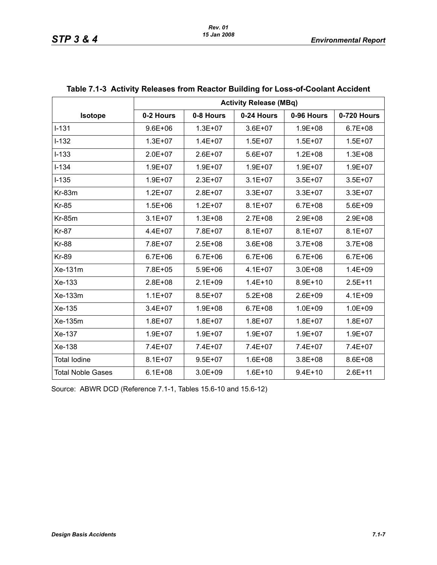|                          | <b>Activity Release (MBq)</b> |             |             |             |             |
|--------------------------|-------------------------------|-------------|-------------|-------------|-------------|
| <b>Isotope</b>           | 0-2 Hours                     | 0-8 Hours   | 0-24 Hours  | 0-96 Hours  | 0-720 Hours |
| $I-131$                  | $9.6E + 06$                   | $1.3E + 07$ | $3.6E + 07$ | $1.9E + 08$ | $6.7E + 08$ |
| $I-132$                  | $1.3E + 07$                   | $1.4E + 07$ | $1.5E + 07$ | $1.5E + 07$ | $1.5E + 07$ |
| $I-133$                  | $2.0E + 07$                   | $2.6E + 07$ | 5.6E+07     | $1.2E + 08$ | $1.3E + 08$ |
| $I-134$                  | $1.9E + 07$                   | $1.9E + 07$ | $1.9E + 07$ | $1.9E + 07$ | $1.9E + 07$ |
| $I-135$                  | $1.9E + 07$                   | $2.3E + 07$ | $3.1E + 07$ | $3.5E + 07$ | $3.5E + 07$ |
| Kr-83m                   | $1.2E + 07$                   | $2.8E + 07$ | $3.3E + 07$ | $3.3E + 07$ | $3.3E + 07$ |
| <b>Kr-85</b>             | $1.5E + 06$                   | $1.2E + 07$ | $8.1E + 07$ | $6.7E + 08$ | $5.6E + 09$ |
| <b>Kr-85m</b>            | $3.1E + 07$                   | $1.3E + 08$ | $2.7E + 08$ | 2.9E+08     | 2.9E+08     |
| <b>Kr-87</b>             | 4.4E+07                       | 7.8E+07     | $8.1E + 07$ | $8.1E + 07$ | $8.1E + 07$ |
| <b>Kr-88</b>             | 7.8E+07                       | $2.5E + 08$ | $3.6E + 08$ | $3.7E + 08$ | $3.7E + 08$ |
| <b>Kr-89</b>             | $6.7E + 06$                   | $6.7E + 06$ | $6.7E + 06$ | $6.7E + 06$ | $6.7E + 06$ |
| Xe-131m                  | 7.8E+05                       | $5.9E + 06$ | $4.1E + 07$ | $3.0E + 08$ | $1.4E + 09$ |
| Xe-133                   | $2.8E + 08$                   | $2.1E + 09$ | $1.4E + 10$ | $8.9E + 10$ | $2.5E+11$   |
| Xe-133m                  | $1.1E + 07$                   | $8.5E + 07$ | $5.2E + 08$ | $2.6E + 09$ | $4.1E + 09$ |
| Xe-135                   | $3.4E + 07$                   | $1.9E + 08$ | $6.7E + 08$ | $1.0E + 09$ | $1.0E + 09$ |
| Xe-135m                  | $1.8E + 07$                   | $1.8E + 07$ | $1.8E + 07$ | $1.8E + 07$ | $1.8E + 07$ |
| Xe-137                   | $1.9E + 07$                   | $1.9E + 07$ | $1.9E + 07$ | $1.9E + 07$ | $1.9E + 07$ |
| Xe-138                   | 7.4E+07                       | 7.4E+07     | 7.4E+07     | 7.4E+07     | 7.4E+07     |
| <b>Total lodine</b>      | $8.1E + 07$                   | $9.5E + 07$ | $1.6E + 08$ | $3.8E + 08$ | 8.6E+08     |
| <b>Total Noble Gases</b> | $6.1E + 08$                   | $3.0E + 09$ | $1.6E + 10$ | $9.4E + 10$ | $2.6E + 11$ |

#### **Table 7.1-3 Activity Releases from Reactor Building for Loss-of-Coolant Accident**

Source: ABWR DCD (Reference 7.1-1, Tables 15.6-10 and 15.6-12)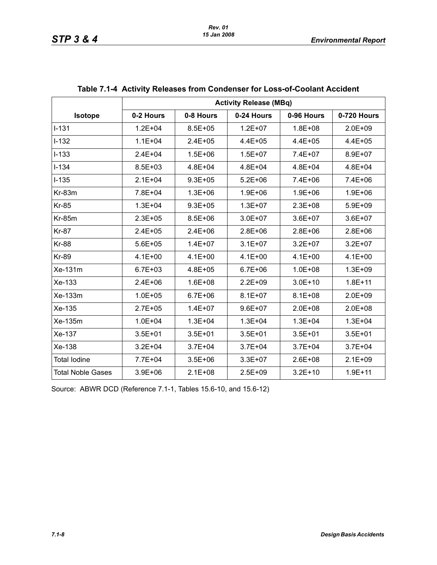|                          | <b>Activity Release (MBq)</b> |             |             |             |             |  |
|--------------------------|-------------------------------|-------------|-------------|-------------|-------------|--|
| Isotope                  | 0-2 Hours                     | 0-8 Hours   | 0-24 Hours  | 0-96 Hours  | 0-720 Hours |  |
| $I - 131$                | $1.2E + 04$                   | $8.5E + 05$ | $1.2E + 07$ | $1.8E + 08$ | $2.0E + 09$ |  |
| $I-132$                  | $1.1E + 04$                   | $2.4E + 05$ | $4.4E + 05$ | $4.4E + 05$ | $4.4E + 05$ |  |
| $I - 133$                | $2.4E + 04$                   | $1.5E + 06$ | $1.5E + 07$ | 7.4E+07     | 8.9E+07     |  |
| $I - 134$                | 8.5E+03                       | 4.8E+04     | 4.8E+04     | $4.8E + 04$ | $4.8E + 04$ |  |
| $I-135$                  | $2.1E + 04$                   | $9.3E + 05$ | $5.2E + 06$ | 7.4E+06     | 7.4E+06     |  |
| $Kr-83m$                 | 7.8E+04                       | $1.3E + 06$ | $1.9E + 06$ | $1.9E + 06$ | $1.9E + 06$ |  |
| <b>Kr-85</b>             | $1.3E + 04$                   | $9.3E + 05$ | $1.3E + 07$ | $2.3E + 08$ | $5.9E + 09$ |  |
| $Kr-85m$                 | $2.3E + 05$                   | $8.5E + 06$ | $3.0E + 07$ | $3.6E + 07$ | $3.6E + 07$ |  |
| <b>Kr-87</b>             | $2.4E + 05$                   | $2.4E + 06$ | $2.8E + 06$ | $2.8E + 06$ | $2.8E + 06$ |  |
| <b>Kr-88</b>             | $5.6E + 05$                   | $1.4E + 07$ | $3.1E + 07$ | $3.2E + 07$ | $3.2E + 07$ |  |
| <b>Kr-89</b>             | $4.1E + 00$                   | $4.1E + 00$ | $4.1E + 00$ | $4.1E + 00$ | $4.1E + 00$ |  |
| Xe-131m                  | $6.7E + 03$                   | $4.8E + 05$ | $6.7E + 06$ | $1.0E + 08$ | $1.3E + 09$ |  |
| Xe-133                   | $2.4E + 06$                   | $1.6E + 08$ | $2.2E + 09$ | $3.0E + 10$ | $1.8E + 11$ |  |
| Xe-133m                  | $1.0E + 05$                   | $6.7E + 06$ | $8.1E + 07$ | $8.1E + 08$ | $2.0E + 09$ |  |
| Xe-135                   | $2.7E + 05$                   | $1.4E + 07$ | $9.6E + 07$ | $2.0E + 08$ | $2.0E + 08$ |  |
| Xe-135m                  | $1.0E + 04$                   | $1.3E + 04$ | $1.3E + 04$ | $1.3E + 04$ | $1.3E + 04$ |  |
| Xe-137                   | $3.5E + 01$                   | $3.5E + 01$ | $3.5E + 01$ | $3.5E + 01$ | $3.5E + 01$ |  |
| Xe-138                   | $3.2E + 04$                   | $3.7E + 04$ | $3.7E + 04$ | $3.7E + 04$ | $3.7E + 04$ |  |
| <b>Total lodine</b>      | 7.7E+04                       | $3.5E + 06$ | $3.3E + 07$ | $2.6E + 08$ | $2.1E + 09$ |  |
| <b>Total Noble Gases</b> | $3.9E + 06$                   | $2.1E + 08$ | $2.5E + 09$ | $3.2E + 10$ | $1.9E + 11$ |  |

|  | Table 7.1-4 Activity Releases from Condenser for Loss-of-Coolant Accident |
|--|---------------------------------------------------------------------------|
|  |                                                                           |

Source: ABWR DCD (Reference 7.1-1, Tables 15.6-10, and 15.6-12)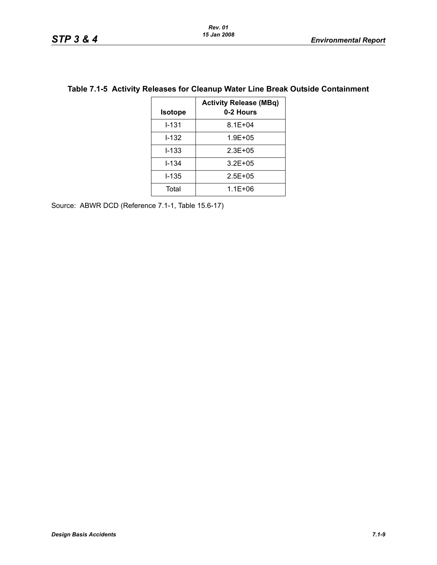| <b>Isotope</b> | <b>Activity Release (MBq)</b><br>0-2 Hours |
|----------------|--------------------------------------------|
| $I - 131$      | $8.1E + 04$                                |
| $1 - 132$      | $1.9E + 0.5$                               |
| $I - 133$      | $2.3E + 0.5$                               |
| I-134          | $3.2E + 0.5$                               |
| <b>I-135</b>   | $2.5E + 05$                                |
| Total          | $1.1E + 06$                                |

#### **Table 7.1-5 Activity Releases for Cleanup Water Line Break Outside Containment**

Source: ABWR DCD (Reference 7.1-1, Table 15.6-17)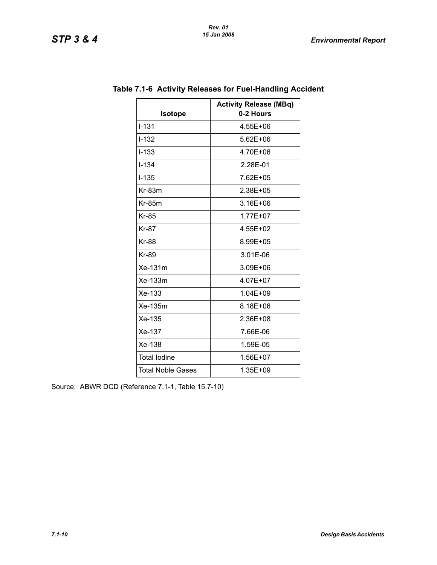| <b>Isotope</b>           | <b>Activity Release (MBq)</b><br>0-2 Hours |
|--------------------------|--------------------------------------------|
| $I - 131$                | 4.55E+06                                   |
| $I - 132$                | $5.62E + 06$                               |
| $I - 133$                | 4.70E+06                                   |
| $1 - 1.34$               | 2.28E-01                                   |
| $I - 135$                | 7.62E+05                                   |
| $Kr-83m$                 | 2.38E+05                                   |
| $Kr-85m$                 | 3.16E+06                                   |
| <b>Kr-85</b>             | 1.77E+07                                   |
| <b>Kr-87</b>             | 4.55E+02                                   |
| <b>Kr-88</b>             | 8.99E+05                                   |
| <b>Kr-89</b>             | 3.01E-06                                   |
| Xe-131m                  | 3.09E+06                                   |
| $Xe-133m$                | 4.07E+07                                   |
| Xe-133                   | 1.04E+09                                   |
| Xe-135m                  | 8.18E+06                                   |
| Xe-135                   | 2.36E+08                                   |
| Xe-137                   | 7.66E-06                                   |
| Xe-138                   | 1.59E-05                                   |
| <b>Total lodine</b>      | 1.56E+07                                   |
| <b>Total Noble Gases</b> | 1.35E+09                                   |

## **Table 7.1-6 Activity Releases for Fuel-Handling Accident**

Source: ABWR DCD (Reference 7.1-1, Table 15.7-10)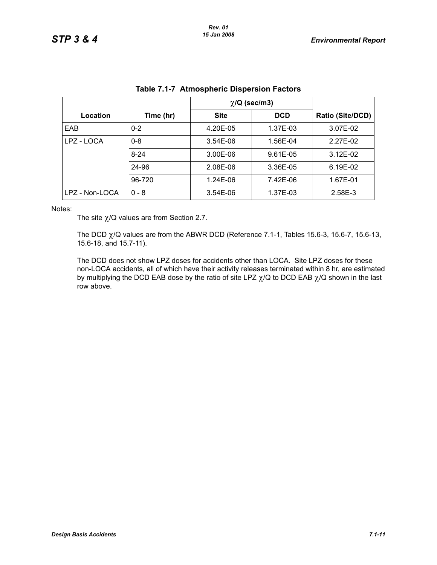|                |           | $\chi$ /Q (sec/m3) |            |                         |
|----------------|-----------|--------------------|------------|-------------------------|
| Location       | Time (hr) | <b>Site</b>        | <b>DCD</b> | <b>Ratio (Site/DCD)</b> |
| EAB            | $0 - 2$   | 4.20E-05           | 1.37E-03   | 3.07E-02                |
| LPZ - LOCA     | $0 - 8$   | $3.54E-06$         | 1.56E-04   | 2.27E-02                |
|                | $8 - 24$  | 3.00E-06           | 9.61E-05   | $3.12E-02$              |
|                | 24-96     | 2.08E-06           | 3.36E-05   | 6.19E-02                |
|                | 96-720    | 1.24E-06           | 7.42E-06   | 1.67E-01                |
| LPZ - Non-LOCA | $0 - 8$   | 3.54E-06           | 1.37E-03   | 2.58E-3                 |

| Table 7.1-7 Atmospheric Dispersion Factors |  |  |  |
|--------------------------------------------|--|--|--|
|                                            |  |  |  |

Notes:

The site  $\chi$ /Q values are from Section 2.7.

The DCD  $\chi$ /Q values are from the ABWR DCD (Reference 7.1-1, Tables 15.6-3, 15.6-7, 15.6-13, 15.6-18, and 15.7-11).

The DCD does not show LPZ doses for accidents other than LOCA. Site LPZ doses for these non-LOCA accidents, all of which have their activity releases terminated within 8 hr, are estimated by multiplying the DCD EAB dose by the ratio of site LPZ  $\chi$ /Q to DCD EAB  $\chi$ /Q shown in the last row above.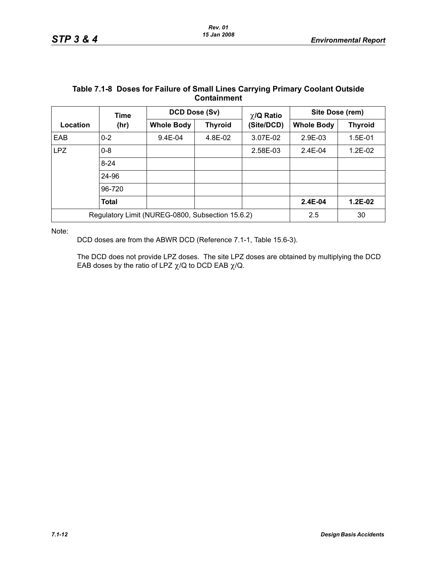| <b>Containment</b> |                                                  |                   |                |                 |                   |                |  |
|--------------------|--------------------------------------------------|-------------------|----------------|-----------------|-------------------|----------------|--|
|                    | <b>Time</b>                                      | DCD Dose (Sv)     |                | $\chi$ /Q Ratio | Site Dose (rem)   |                |  |
| Location           | (hr)                                             | <b>Whole Body</b> | <b>Thyroid</b> | (Site/DCD)      | <b>Whole Body</b> | <b>Thyroid</b> |  |
| EAB                | $0 - 2$                                          | 9.4E-04           | 4.8E-02        | 3.07E-02        | 2.9E-03           | $1.5E-01$      |  |
| <b>LPZ</b>         | $0 - 8$                                          |                   |                | 2.58E-03        | $2.4E-04$         | $1.2E-02$      |  |
|                    | $8 - 24$                                         |                   |                |                 |                   |                |  |
|                    | 24-96                                            |                   |                |                 |                   |                |  |
|                    | 96-720                                           |                   |                |                 |                   |                |  |
|                    | <b>Total</b>                                     |                   |                |                 | 2.4E-04           | $1.2E-02$      |  |
|                    | Regulatory Limit (NUREG-0800, Subsection 15.6.2) |                   |                |                 | 2.5               | 30             |  |

# **Table 7.1-8 Doses for Failure of Small Lines Carrying Primary Coolant Outside**

Note:

DCD doses are from the ABWR DCD (Reference 7.1-1, Table 15.6-3).

The DCD does not provide LPZ doses. The site LPZ doses are obtained by multiplying the DCD EAB doses by the ratio of LPZ  $\chi$ /Q to DCD EAB  $\chi$ /Q.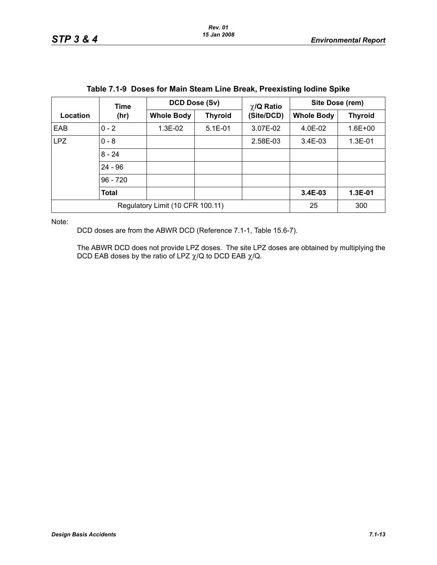| <b>TADIO 7.1-9 DOSCS TOF MAILI OLGANI ENTO DI CANTE I TOCATSUNG TOURING OPING</b> |              |                   |                |                               |                   |                |  |
|-----------------------------------------------------------------------------------|--------------|-------------------|----------------|-------------------------------|-------------------|----------------|--|
|                                                                                   | Time         |                   | DCD Dose (Sv)  |                               | Site Dose (rem)   |                |  |
| Location                                                                          | (hr)         | <b>Whole Body</b> | <b>Thyroid</b> | $\chi$ /Q Ratio<br>(Site/DCD) | <b>Whole Body</b> | <b>Thyroid</b> |  |
| <b>EAB</b>                                                                        | $0 - 2$      | $1.3E-02$         | $5.1E-01$      | 3.07E-02                      | 4.0E-02           | $1.6E + 00$    |  |
| <b>LPZ</b>                                                                        | $0 - 8$      |                   |                | 2.58E-03                      | $3.4E-03$         | $1.3E-01$      |  |
|                                                                                   | $8 - 24$     |                   |                |                               |                   |                |  |
|                                                                                   | $24 - 96$    |                   |                |                               |                   |                |  |
|                                                                                   | $96 - 720$   |                   |                |                               |                   |                |  |
|                                                                                   | <b>Total</b> |                   |                |                               | 3.4E-03           | 1.3E-01        |  |
| Regulatory Limit (10 CFR 100.11)                                                  |              |                   |                |                               | 25                | 300            |  |
|                                                                                   |              |                   |                |                               |                   |                |  |

Note:

DCD doses are from the ABWR DCD (Reference 7.1-1, Table 15.6-7).

The ABWR DCD does not provide LPZ doses. The site LPZ doses are obtained by multiplying the DCD EAB doses by the ratio of LPZ  $\chi$ /Q to DCD EAB  $\chi$ /Q.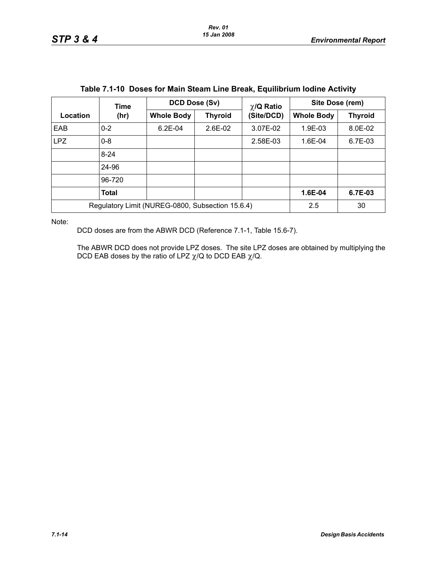| Table 7.1-TV DOSES TOF Maill Steam Line Break, Equilibrium Iounie Activity |          |                                     |         |                 |                   |                |  |
|----------------------------------------------------------------------------|----------|-------------------------------------|---------|-----------------|-------------------|----------------|--|
|                                                                            | Time     | DCD Dose (Sv)                       |         | $\chi$ /Q Ratio | Site Dose (rem)   |                |  |
| Location                                                                   | (hr)     | <b>Whole Body</b><br><b>Thyroid</b> |         | (Site/DCD)      | <b>Whole Body</b> | <b>Thyroid</b> |  |
| EAB                                                                        | $0 - 2$  | $6.2E - 04$                         | 2.6E-02 | 3.07E-02        | 1.9E-03           | 8.0E-02        |  |
| <b>LPZ</b>                                                                 | $0 - 8$  |                                     |         | 2.58E-03        | 1.6E-04           | 6.7E-03        |  |
|                                                                            | $8 - 24$ |                                     |         |                 |                   |                |  |
|                                                                            | 24-96    |                                     |         |                 |                   |                |  |
|                                                                            | 96-720   |                                     |         |                 |                   |                |  |
|                                                                            | Total    |                                     |         |                 | 1.6E-04           | 6.7E-03        |  |
| Regulatory Limit (NUREG-0800, Subsection 15.6.4)                           |          |                                     |         | 2.5             | 30                |                |  |

## **Table 7.1-10 Doses for Main Steam Line Break, Equilibrium Iodine Activity**

Note:

DCD doses are from the ABWR DCD (Reference 7.1-1, Table 15.6-7).

The ABWR DCD does not provide LPZ doses. The site LPZ doses are obtained by multiplying the DCD EAB doses by the ratio of LPZ  $\chi$ /Q to DCD EAB  $\chi$ /Q.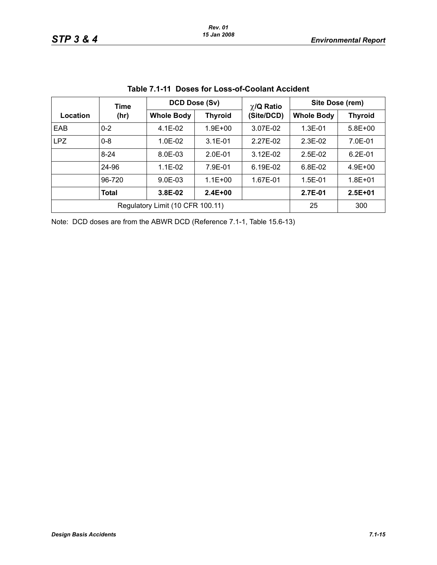|                                  | Time         |                   | DCD Dose (Sv)  | $\chi$ /Q Ratio | Site Dose (rem)   |                |  |  |
|----------------------------------|--------------|-------------------|----------------|-----------------|-------------------|----------------|--|--|
| Location                         | (hr)         | <b>Whole Body</b> | <b>Thyroid</b> | (Site/DCD)      | <b>Whole Body</b> | <b>Thyroid</b> |  |  |
| EAB                              | $0 - 2$      | $4.1E-02$         | $1.9E + 00$    | 3.07E-02        | $1.3E - 01$       | $5.8E + 00$    |  |  |
| <b>LPZ</b>                       | $0 - 8$      | 1.0E-02           | $3.1E - 01$    | 2.27E-02        | $2.3E-02$         | 7.0E-01        |  |  |
|                                  | $8 - 24$     | 8.0E-03           | $2.0E-01$      | 3.12E-02        | $2.5E-02$         | $6.2E - 01$    |  |  |
|                                  | 24-96        | $1.1E-02$         | 7.9E-01        | 6.19E-02        | $6.8E-02$         | $4.9E + 00$    |  |  |
|                                  | 96-720       | $9.0E-03$         | $1.1E + 00$    | 1.67E-01        | $1.5E-01$         | $1.8E + 01$    |  |  |
|                                  | <b>Total</b> | $3.8E-02$         | $2.4E + 00$    |                 | 2.7E-01           | $2.5E + 01$    |  |  |
| Regulatory Limit (10 CFR 100.11) |              |                   |                |                 | 25                | 300            |  |  |

|  |  | Table 7.1-11 Doses for Loss-of-Coolant Accident |  |
|--|--|-------------------------------------------------|--|
|--|--|-------------------------------------------------|--|

Note: DCD doses are from the ABWR DCD (Reference 7.1-1, Table 15.6-13)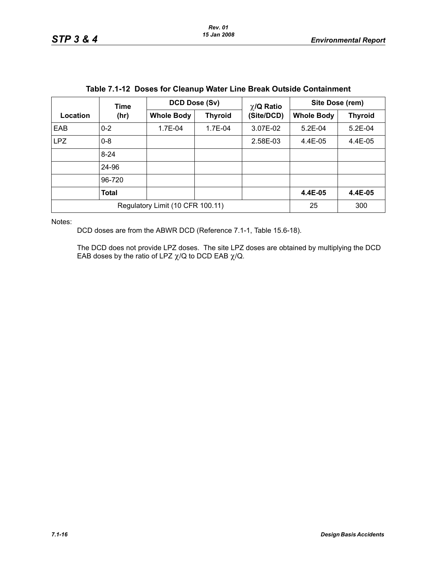| Table 7.1-12 Doses for Gleanup water Line Break Outside Containment |              |                   |                |                 |                   |                |  |
|---------------------------------------------------------------------|--------------|-------------------|----------------|-----------------|-------------------|----------------|--|
|                                                                     | Time         | DCD Dose (Sv)     |                | $\chi$ /Q Ratio | Site Dose (rem)   |                |  |
| Location                                                            | (hr)         | <b>Whole Body</b> | <b>Thyroid</b> | (Site/DCD)      | <b>Whole Body</b> | <b>Thyroid</b> |  |
| EAB                                                                 | $0 - 2$      | 1.7E-04           | 1.7E-04        | 3.07E-02        | $5.2E-04$         | $5.2E-04$      |  |
| <b>LPZ</b>                                                          | $0 - 8$      |                   |                | 2.58E-03        | 4.4E-05           | 4.4E-05        |  |
|                                                                     | $8 - 24$     |                   |                |                 |                   |                |  |
|                                                                     | 24-96        |                   |                |                 |                   |                |  |
|                                                                     | 96-720       |                   |                |                 |                   |                |  |
|                                                                     | <b>Total</b> |                   |                |                 | 4.4E-05           | 4.4E-05        |  |
| Regulatory Limit (10 CFR 100.11)                                    |              |                   |                |                 | 25                | 300            |  |

## **Table 7.1-12 Doses for Cleanup Water Line Break Outside Containment**

Notes:

DCD doses are from the ABWR DCD (Reference 7.1-1, Table 15.6-18).

The DCD does not provide LPZ doses. The site LPZ doses are obtained by multiplying the DCD EAB doses by the ratio of LPZ  $\chi$ /Q to DCD EAB  $\chi$ /Q.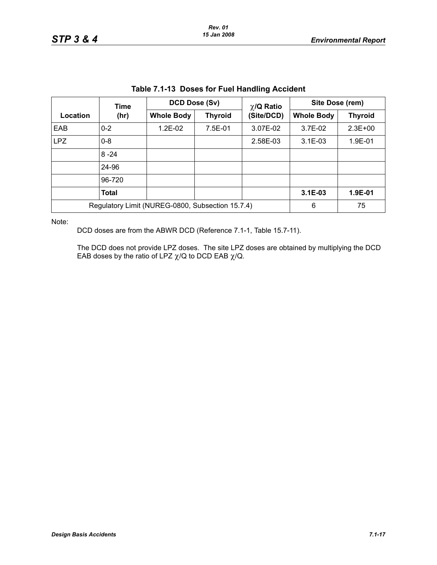| <b>TADIO 1.1-TO DOSGO TOF F ACT HANGHING ACCIDENT</b> |                                             |               |            |                   |                 |             |  |
|-------------------------------------------------------|---------------------------------------------|---------------|------------|-------------------|-----------------|-------------|--|
|                                                       | Time                                        | DCD Dose (Sv) |            | $\chi$ /Q Ratio   | Site Dose (rem) |             |  |
| Location                                              | <b>Whole Body</b><br><b>Thyroid</b><br>(hr) |               | (Site/DCD) | <b>Whole Body</b> | <b>Thyroid</b>  |             |  |
| <b>EAB</b>                                            | $0 - 2$                                     | $1.2E-02$     | 7.5E-01    | 3.07E-02          | 3.7E-02         | $2.3E + 00$ |  |
| LPZ                                                   | $0 - 8$                                     |               |            | 2.58E-03          | $3.1E-03$       | 1.9E-01     |  |
|                                                       | $8 - 24$                                    |               |            |                   |                 |             |  |
|                                                       | 24-96                                       |               |            |                   |                 |             |  |
|                                                       | 96-720                                      |               |            |                   |                 |             |  |
|                                                       | <b>Total</b>                                |               |            |                   | $3.1E-03$       | 1.9E-01     |  |
| Regulatory Limit (NUREG-0800, Subsection 15.7.4)      |                                             |               |            | 6                 | 75              |             |  |

|  | Table 7.1-13 Doses for Fuel Handling Accident |  |  |
|--|-----------------------------------------------|--|--|
|--|-----------------------------------------------|--|--|

Note:

DCD doses are from the ABWR DCD (Reference 7.1-1, Table 15.7-11).

The DCD does not provide LPZ doses. The site LPZ doses are obtained by multiplying the DCD EAB doses by the ratio of LPZ  $\chi$ /Q to DCD EAB  $\chi$ /Q.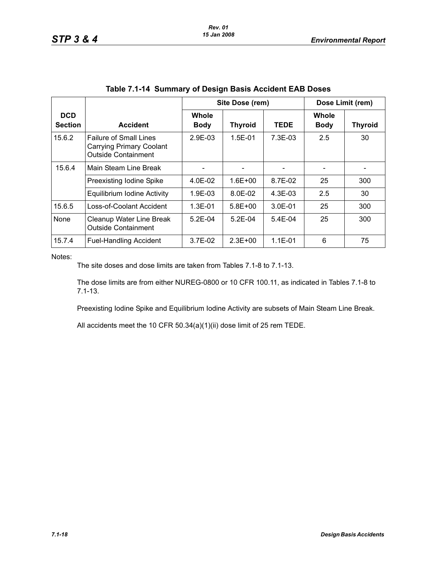|                              |                                                                                                | Site Dose (rem)      |                |             | Dose Limit (rem)     |                |  |
|------------------------------|------------------------------------------------------------------------------------------------|----------------------|----------------|-------------|----------------------|----------------|--|
| <b>DCD</b><br><b>Section</b> | <b>Accident</b>                                                                                | Whole<br><b>Body</b> | <b>Thyroid</b> | <b>TEDE</b> | Whole<br><b>Body</b> | <b>Thyroid</b> |  |
| 15.6.2                       | <b>Failure of Small Lines</b><br><b>Carrying Primary Coolant</b><br><b>Outside Containment</b> | 2.9E-03              | $1.5E - 01$    | $7.3E-03$   | 2.5                  | 30             |  |
| 15.6.4                       | Main Steam Line Break                                                                          |                      |                |             |                      |                |  |
|                              | Preexisting Iodine Spike                                                                       | 4.0E-02              | $1.6E + 00$    | 8.7E-02     | 25                   | 300            |  |
|                              | Equilibrium Iodine Activity                                                                    | 1.9E-03              | 8.0E-02        | $4.3E-03$   | 2.5                  | 30             |  |
| 15.6.5                       | Loss-of-Coolant Accident                                                                       | $1.3E - 01$          | $5.8E + 00$    | $3.0E - 01$ | 25                   | 300            |  |
| None                         | Cleanup Water Line Break<br><b>Outside Containment</b>                                         | $5.2E-04$            | $5.2F-04$      | $5.4E-04$   | 25                   | 300            |  |
| 15.7.4                       | <b>Fuel-Handling Accident</b>                                                                  | $3.7E-02$            | $2.3E + 00$    | $1.1E - 01$ | 6                    | 75             |  |

Notes:

The site doses and dose limits are taken from Tables 7.1-8 to 7.1-13.

The dose limits are from either NUREG-0800 or 10 CFR 100.11, as indicated in Tables 7.1-8 to 7.1-13.

Preexisting Iodine Spike and Equilibrium Iodine Activity are subsets of Main Steam Line Break.

All accidents meet the 10 CFR 50.34(a)(1)(ii) dose limit of 25 rem TEDE.